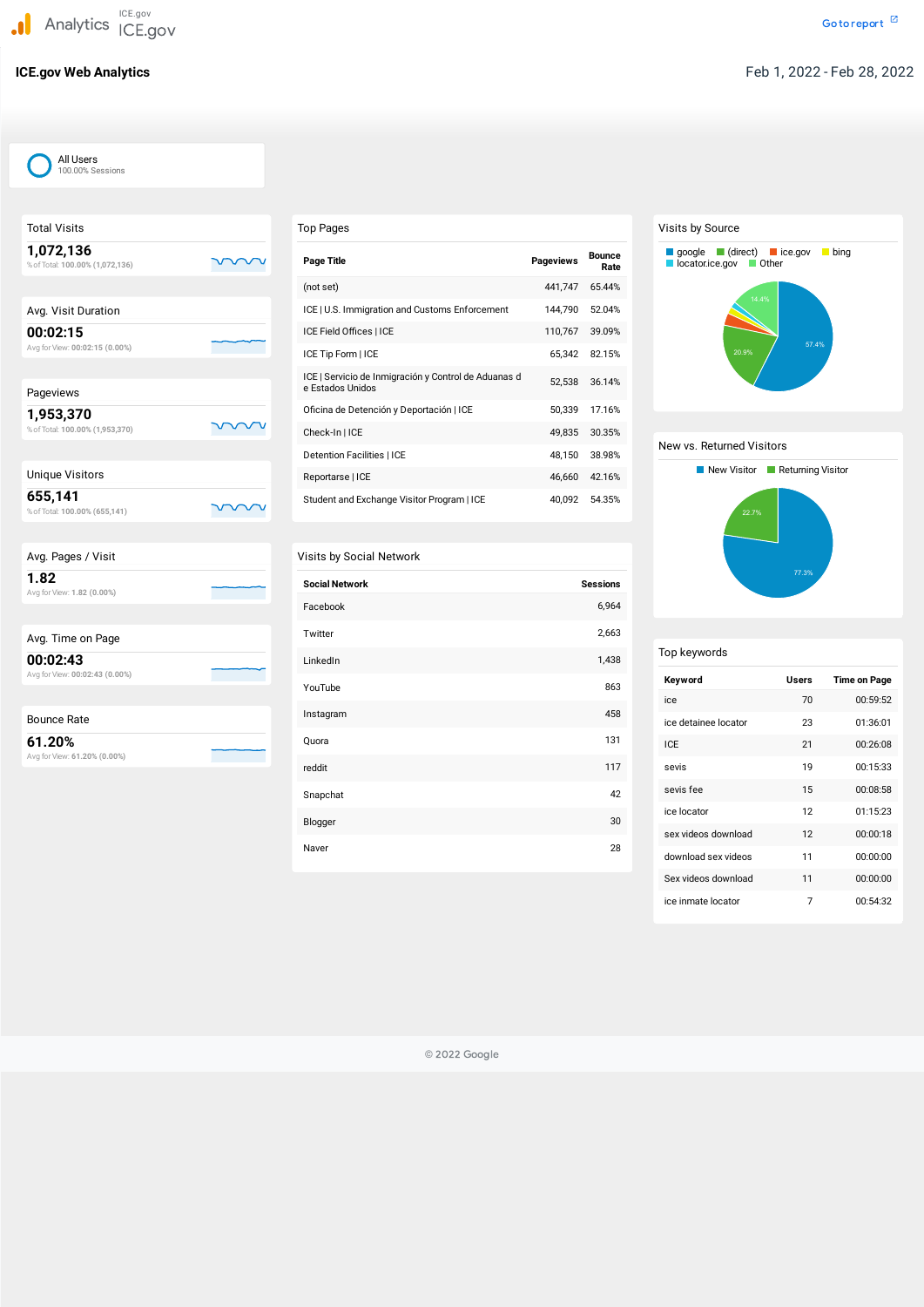| <b>Total Visits</b>                          |  |
|----------------------------------------------|--|
| 1,072,136<br>% of Total: 100.00% (1,072,136) |  |
|                                              |  |
| Avg. Visit Duration                          |  |
| 00:02:15<br>Avg for View: 00:02:15 (0.00%)   |  |
|                                              |  |
| Pageviews                                    |  |
| 1,953,370<br>% of Total: 100.00% (1,953,370) |  |
|                                              |  |
| <b>Unique Visitors</b>                       |  |
| 655,141<br>% of Total: 100.00% (655,141)     |  |
|                                              |  |
| Avg. Pages / Visit                           |  |
| 1.82<br>Avg for View: 1.82 (0.00%)           |  |
|                                              |  |
| Avg. Time on Page                            |  |
| 00:02:43<br>Avg for View: 00:02:43 (0.00%)   |  |

| <b>Bounce Rate</b>           |  |
|------------------------------|--|
| 61.20%                       |  |
| Avg for View: 61.20% (0.00%) |  |

# Top Pages

| <b>Page Title</b>                                                        | <b>Pageviews</b> | <b>Bounce</b><br>Rate |
|--------------------------------------------------------------------------|------------------|-----------------------|
| (not set)                                                                | 441,747          | 65.44%                |
| ICE   U.S. Immigration and Customs Enforcement                           | 144,790          | 52.04%                |
| ICE Field Offices   ICE                                                  | 110,767          | 39.09%                |
| ICE Tip Form   ICE                                                       | 65,342           | 82.15%                |
| ICE   Servicio de Inmigración y Control de Aduanas d<br>e Estados Unidos | 52,538           | 36.14%                |
| Oficina de Detención y Deportación   ICE                                 | 50,339           | 17.16%                |
| Check-In   ICE                                                           | 49,835           | 30.35%                |
| <b>Detention Facilities   ICE</b>                                        | 48,150           | 38.98%                |
| Reportarse   ICE                                                         | 46,660           | 42.16%                |
| Student and Exchange Visitor Program   ICE                               | 40,092           | 54.35%                |

# Visits by Social Network

| <b>Social Network</b> | <b>Sessions</b> |
|-----------------------|-----------------|
| Facebook              | 6,964           |
| Twitter               | 2,663           |
| LinkedIn              | 1,438           |
| YouTube               | 863             |
| Instagram             | 458             |
| Quora                 | 131             |
| reddit                | 117             |
| Snapchat              | 42              |
| Blogger               | 30              |
| Naver                 | 28              |

# Visits by Source

## New vs. Returned Visitors

# Top keywords

| Keyword              | <b>Users</b> | Time on Page |
|----------------------|--------------|--------------|
| ice                  | 70           | 00:59:52     |
| ice detainee locator | 23           | 01:36:01     |
| ICE                  | 21           | 00:26:08     |
| sevis                | 19           | 00:15:33     |
| sevis fee            | 15           | 00:08:58     |
| ice locator          | 12           | 01:15:23     |
| sex videos download  | 12           | 00:00:18     |
| download sex videos  | 11           | 00:00:00     |
| Sex videos download  | 11           | 00:00:00     |





© 2022 Google

## All Users 100.00% Sessions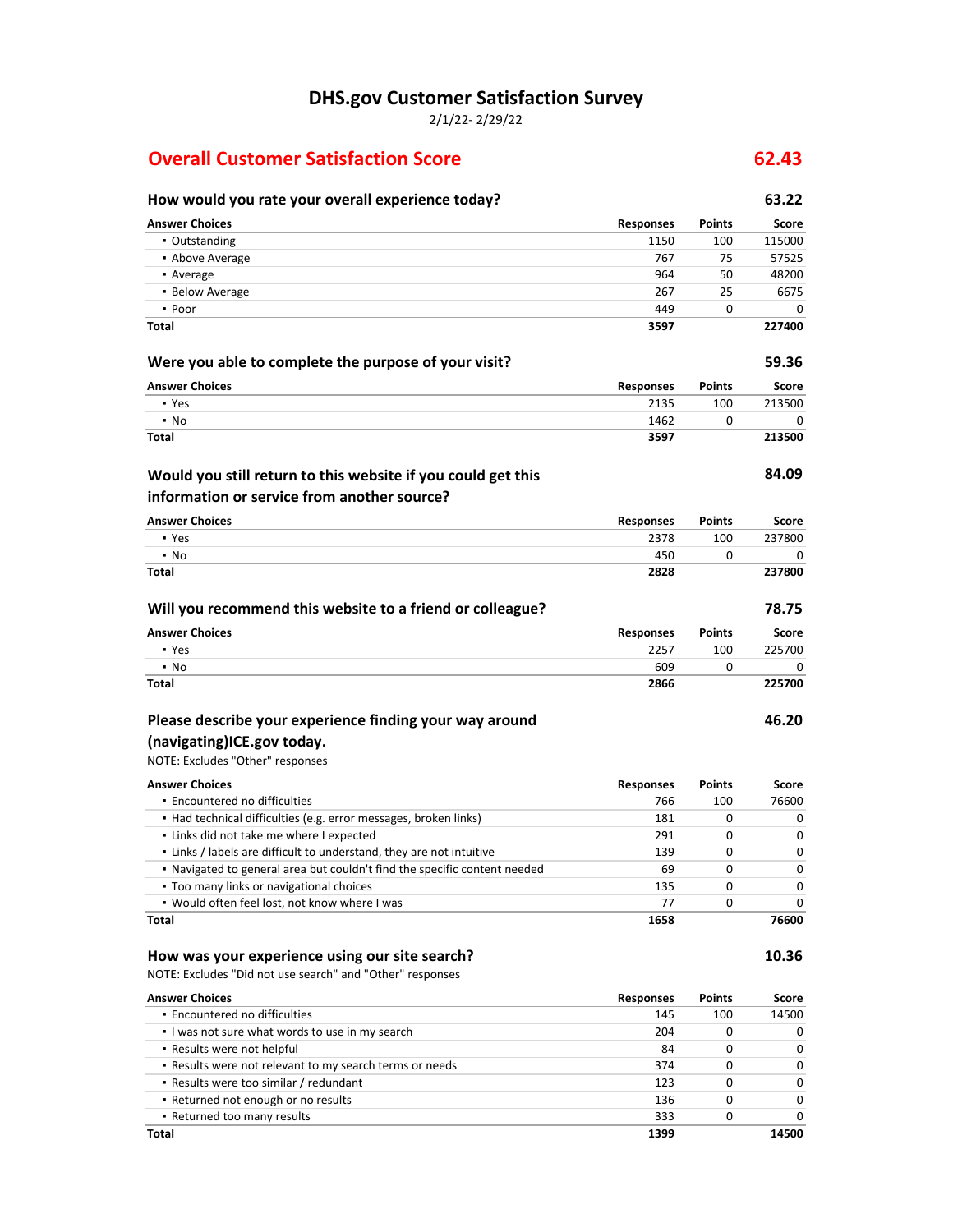**DHS.gov Customer Satisfaction Survey**

2/1/22- 2/29/22

## **Overall Customer Satisfaction Score 62.43**

## **How would you rate your overall experience today? 63.22 Answer Choices Responses Points Score** • Outstanding 115000 115000 115000 115000 115000 115000 115000 115000 115000 115000 115000 115000 115000 115000 ■ Above Average 767 75 57525 57525 **•** Average 180 and 180 and 180 and 180 and 180 and 180 and 180 and 180 and 180 and 180 and 180 and 180 and 180 and 180 and 180 and 180 and 180 and 180 and 180 and 180 and 180 and 180 and 180 and 180 and 180 and 180 and 18 ▪ Below Average 267 25 6675 ▪ Poor 449 0 0 **Total 3597 227400 Were you able to complete the purpose of your visit? 59.36 Answer Choices Responses Points Score** • Yes 2135 2135 100 213500 ▪ No 1462 0 0 **Total 3597 213500 84.09 Answer Choices Responses Points Score** ▪ Yes 2378 100 237800 • No 2008 12:00 12:00 12:00 12:00 12:00 12:00 12:00 12:00 12:00 12:00 12:00 12:00 12:00 12:00 12:00 12:00 12:0 **Total 2828 237800 Will you recommend this website to a friend or colleague? 78.75 Answer Choices Responses Points Score** ▪ Yes 2257 100 225700 ▪ No 609 0 0 **Total 2866 225700 Would you still return to this website if you could get this information or service from another source?**

### **Please describe your experience finding your way around**

### **(navigating)ICE.gov today.**

NOTE: Excludes "Other" responses

| <b>Answer Choices</b>                                                     | <b>Responses</b> | <b>Points</b> | Score |
|---------------------------------------------------------------------------|------------------|---------------|-------|
| • Encountered no difficulties                                             | 766              | 100           | 76600 |
| • Had technical difficulties (e.g. error messages, broken links)          | 181              | 0             | o     |
| . Links did not take me where I expected                                  | 291              | <sup>0</sup>  | ŋ     |
| . Links / labels are difficult to understand, they are not intuitive      | 139              | 0             | O     |
| . Navigated to general area but couldn't find the specific content needed | 69               | 0             | O     |
| • Too many links or navigational choices                                  | 135              | <sup>0</sup>  | O     |
| . Would often feel lost, not know where I was                             | 77               | 0             | o     |
| Total                                                                     | 1658             |               | 76600 |

#### **How was your experience using our site search? 10.36**

NOTE: Excludes "Did not use search" and "Other" responses

| <b>Answer Choices</b>                                   | <b>Responses</b> | <b>Points</b> | Score        |
|---------------------------------------------------------|------------------|---------------|--------------|
| • Encountered no difficulties                           | 145              | 100           | 14500        |
| I was not sure what words to use in my search           | 204              |               |              |
| • Results were not helpful                              | 84               |               | O            |
| . Results were not relevant to my search terms or needs | 374              |               | 0            |
| • Results were too similar / redundant                  | 123              | O             | <sup>0</sup> |
| • Returned not enough or no results                     | 136              |               | <sup>0</sup> |
| • Returned too many results                             | 333              |               |              |
| Total                                                   | 1399             |               | 14500        |

**46.20**